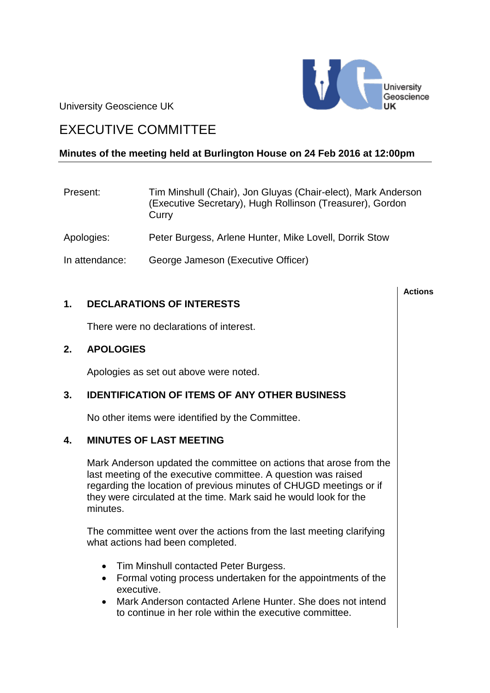University Geoscience UK



# EXECUTIVE COMMITTEE

### **Minutes of the meeting held at Burlington House on 24 Feb 2016 at 12:00pm**

| Present:       | Tim Minshull (Chair), Jon Gluyas (Chair-elect), Mark Anderson<br>(Executive Secretary), Hugh Rollinson (Treasurer), Gordon<br>Curry |
|----------------|-------------------------------------------------------------------------------------------------------------------------------------|
| Apologies:     | Peter Burgess, Arlene Hunter, Mike Lovell, Dorrik Stow                                                                              |
| In attendance: | George Jameson (Executive Officer)                                                                                                  |

### **1. DECLARATIONS OF INTERESTS**

There were no declarations of interest.

#### **2. APOLOGIES**

Apologies as set out above were noted.

#### **3. IDENTIFICATION OF ITEMS OF ANY OTHER BUSINESS**

No other items were identified by the Committee.

#### **4. MINUTES OF LAST MEETING**

Mark Anderson updated the committee on actions that arose from the last meeting of the executive committee. A question was raised regarding the location of previous minutes of CHUGD meetings or if they were circulated at the time. Mark said he would look for the minutes.

The committee went over the actions from the last meeting clarifying what actions had been completed.

- Tim Minshull contacted Peter Burgess.
- Formal voting process undertaken for the appointments of the executive.
- Mark Anderson contacted Arlene Hunter. She does not intend to continue in her role within the executive committee.

#### **Actions**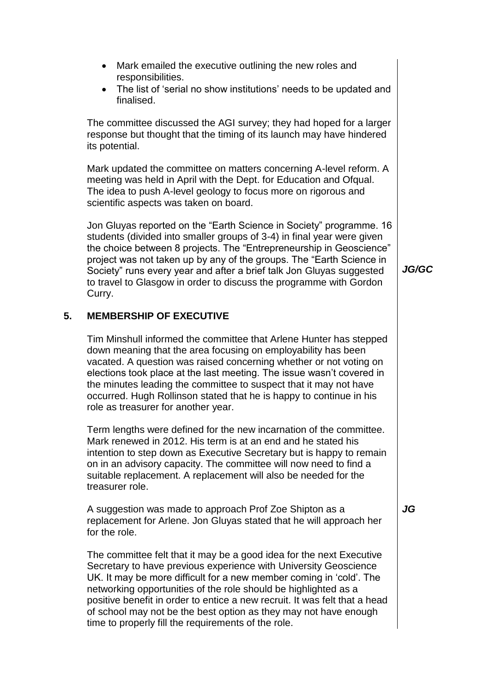- Mark emailed the executive outlining the new roles and responsibilities.
- The list of 'serial no show institutions' needs to be updated and finalised.

The committee discussed the AGI survey; they had hoped for a larger response but thought that the timing of its launch may have hindered its potential.

Mark updated the committee on matters concerning A-level reform. A meeting was held in April with the Dept. for Education and Ofqual. The idea to push A-level geology to focus more on rigorous and scientific aspects was taken on board.

Jon Gluyas reported on the "Earth Science in Society" programme. 16 students (divided into smaller groups of 3-4) in final year were given the choice between 8 projects. The "Entrepreneurship in Geoscience" project was not taken up by any of the groups. The "Earth Science in Society" runs every year and after a brief talk Jon Gluyas suggested to travel to Glasgow in order to discuss the programme with Gordon Curry.

#### **5. MEMBERSHIP OF EXECUTIVE**

Tim Minshull informed the committee that Arlene Hunter has stepped down meaning that the area focusing on employability has been vacated. A question was raised concerning whether or not voting on elections took place at the last meeting. The issue wasn't covered in the minutes leading the committee to suspect that it may not have occurred. Hugh Rollinson stated that he is happy to continue in his role as treasurer for another year.

Term lengths were defined for the new incarnation of the committee. Mark renewed in 2012. His term is at an end and he stated his intention to step down as Executive Secretary but is happy to remain on in an advisory capacity. The committee will now need to find a suitable replacement. A replacement will also be needed for the treasurer role.

A suggestion was made to approach Prof Zoe Shipton as a replacement for Arlene. Jon Gluyas stated that he will approach her for the role.

The committee felt that it may be a good idea for the next Executive Secretary to have previous experience with University Geoscience UK. It may be more difficult for a new member coming in 'cold'. The networking opportunities of the role should be highlighted as a positive benefit in order to entice a new recruit. It was felt that a head of school may not be the best option as they may not have enough time to properly fill the requirements of the role.

*JG/GC*

*JG*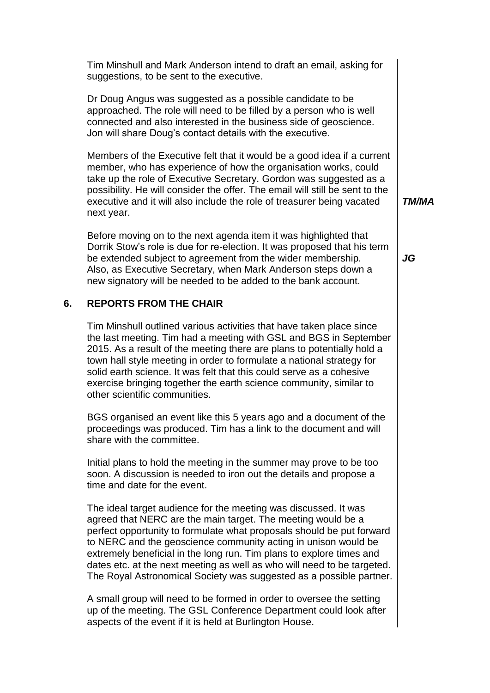Tim Minshull and Mark Anderson intend to draft an email, asking for suggestions, to be sent to the executive.

Dr Doug Angus was suggested as a possible candidate to be approached. The role will need to be filled by a person who is well connected and also interested in the business side of geoscience. Jon will share Doug's contact details with the executive.

Members of the Executive felt that it would be a good idea if a current member, who has experience of how the organisation works, could take up the role of Executive Secretary. Gordon was suggested as a possibility. He will consider the offer. The email will still be sent to the executive and it will also include the role of treasurer being vacated next year.

Before moving on to the next agenda item it was highlighted that Dorrik Stow's role is due for re-election. It was proposed that his term be extended subject to agreement from the wider membership. Also, as Executive Secretary, when Mark Anderson steps down a new signatory will be needed to be added to the bank account.

### **6. REPORTS FROM THE CHAIR**

Tim Minshull outlined various activities that have taken place since the last meeting. Tim had a meeting with GSL and BGS in September 2015. As a result of the meeting there are plans to potentially hold a town hall style meeting in order to formulate a national strategy for solid earth science. It was felt that this could serve as a cohesive exercise bringing together the earth science community, similar to other scientific communities.

BGS organised an event like this 5 years ago and a document of the proceedings was produced. Tim has a link to the document and will share with the committee.

Initial plans to hold the meeting in the summer may prove to be too soon. A discussion is needed to iron out the details and propose a time and date for the event.

The ideal target audience for the meeting was discussed. It was agreed that NERC are the main target. The meeting would be a perfect opportunity to formulate what proposals should be put forward to NERC and the geoscience community acting in unison would be extremely beneficial in the long run. Tim plans to explore times and dates etc. at the next meeting as well as who will need to be targeted. The Royal Astronomical Society was suggested as a possible partner.

A small group will need to be formed in order to oversee the setting up of the meeting. The GSL Conference Department could look after aspects of the event if it is held at Burlington House.

*TM/MA*

*JG*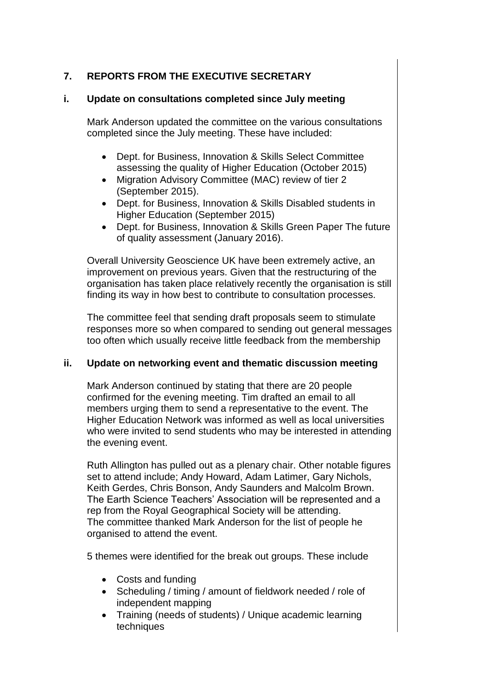## **7. REPORTS FROM THE EXECUTIVE SECRETARY**

### **i. Update on consultations completed since July meeting**

Mark Anderson updated the committee on the various consultations completed since the July meeting. These have included:

- Dept. for Business, Innovation & Skills Select Committee assessing the quality of Higher Education (October 2015)
- Migration Advisory Committee (MAC) review of tier 2 (September 2015).
- Dept. for Business, Innovation & Skills Disabled students in Higher Education (September 2015)
- Dept. for Business, Innovation & Skills Green Paper The future of quality assessment (January 2016).

Overall University Geoscience UK have been extremely active, an improvement on previous years. Given that the restructuring of the organisation has taken place relatively recently the organisation is still finding its way in how best to contribute to consultation processes.

The committee feel that sending draft proposals seem to stimulate responses more so when compared to sending out general messages too often which usually receive little feedback from the membership

#### **ii. Update on networking event and thematic discussion meeting**

Mark Anderson continued by stating that there are 20 people confirmed for the evening meeting. Tim drafted an email to all members urging them to send a representative to the event. The Higher Education Network was informed as well as local universities who were invited to send students who may be interested in attending the evening event.

Ruth Allington has pulled out as a plenary chair. Other notable figures set to attend include; Andy Howard, Adam Latimer, Gary Nichols, Keith Gerdes, Chris Bonson, Andy Saunders and Malcolm Brown. The Earth Science Teachers' Association will be represented and a rep from the Royal Geographical Society will be attending. The committee thanked Mark Anderson for the list of people he organised to attend the event.

5 themes were identified for the break out groups. These include

- Costs and funding
- Scheduling / timing / amount of fieldwork needed / role of independent mapping
- Training (needs of students) / Unique academic learning techniques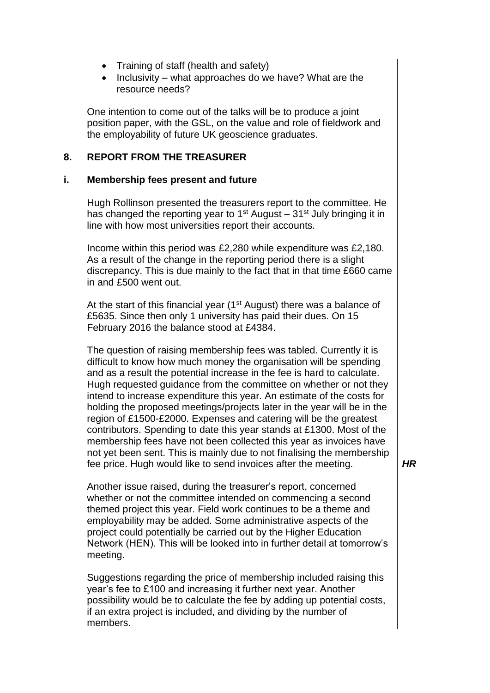- Training of staff (health and safety)
- $\bullet$  Inclusivity what approaches do we have? What are the resource needs?

One intention to come out of the talks will be to produce a joint position paper, with the GSL, on the value and role of fieldwork and the employability of future UK geoscience graduates.

#### **8. REPORT FROM THE TREASURER**

#### **i. Membership fees present and future**

Hugh Rollinson presented the treasurers report to the committee. He has changed the reporting year to  $1<sup>st</sup>$  August –  $31<sup>st</sup>$  July bringing it in line with how most universities report their accounts.

Income within this period was £2,280 while expenditure was £2,180. As a result of the change in the reporting period there is a slight discrepancy. This is due mainly to the fact that in that time £660 came in and £500 went out.

At the start of this financial year ( $1<sup>st</sup>$  August) there was a balance of £5635. Since then only 1 university has paid their dues. On 15 February 2016 the balance stood at £4384.

The question of raising membership fees was tabled. Currently it is difficult to know how much money the organisation will be spending and as a result the potential increase in the fee is hard to calculate. Hugh requested guidance from the committee on whether or not they intend to increase expenditure this year. An estimate of the costs for holding the proposed meetings/projects later in the year will be in the region of £1500-£2000. Expenses and catering will be the greatest contributors. Spending to date this year stands at £1300. Most of the membership fees have not been collected this year as invoices have not yet been sent. This is mainly due to not finalising the membership fee price. Hugh would like to send invoices after the meeting.

Another issue raised, during the treasurer's report, concerned whether or not the committee intended on commencing a second themed project this year. Field work continues to be a theme and employability may be added. Some administrative aspects of the project could potentially be carried out by the Higher Education Network (HEN). This will be looked into in further detail at tomorrow's meeting.

Suggestions regarding the price of membership included raising this year's fee to £100 and increasing it further next year. Another possibility would be to calculate the fee by adding up potential costs, if an extra project is included, and dividing by the number of members.

*HR*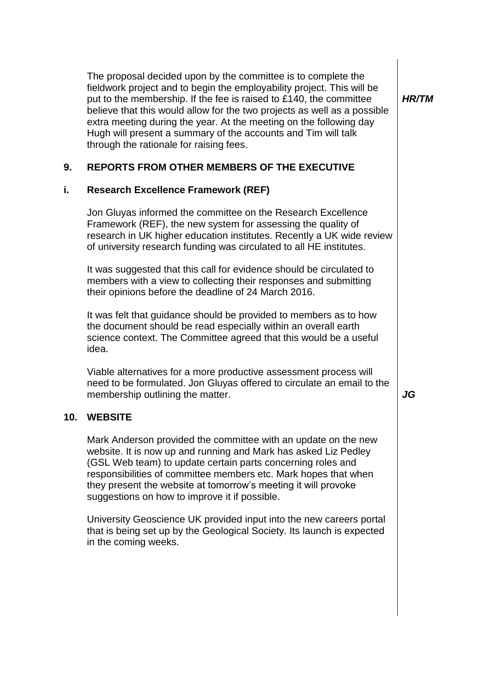The proposal decided upon by the committee is to complete the fieldwork project and to begin the employability project. This will be put to the membership. If the fee is raised to £140, the committee believe that this would allow for the two projects as well as a possible extra meeting during the year. At the meeting on the following day Hugh will present a summary of the accounts and Tim will talk through the rationale for raising fees.

*HR/TM*

#### **9. REPORTS FROM OTHER MEMBERS OF THE EXECUTIVE**

#### **i. Research Excellence Framework (REF)**

Jon Gluyas informed the committee on the Research Excellence Framework (REF), the new system for assessing the quality of research in UK higher education institutes. Recently a UK wide review of university research funding was circulated to all HE institutes.

It was suggested that this call for evidence should be circulated to members with a view to collecting their responses and submitting their opinions before the deadline of 24 March 2016.

It was felt that guidance should be provided to members as to how the document should be read especially within an overall earth science context. The Committee agreed that this would be a useful idea.

Viable alternatives for a more productive assessment process will need to be formulated. Jon Gluyas offered to circulate an email to the membership outlining the matter. *JG* 

#### **10. WEBSITE**

Mark Anderson provided the committee with an update on the new website. It is now up and running and Mark has asked Liz Pedley (GSL Web team) to update certain parts concerning roles and responsibilities of committee members etc. Mark hopes that when they present the website at tomorrow's meeting it will provoke suggestions on how to improve it if possible.

University Geoscience UK provided input into the new careers portal that is being set up by the Geological Society. Its launch is expected in the coming weeks.